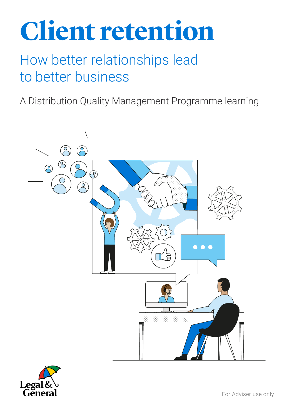# **Client retention**

## How better relationships lead to better business

A Distribution Quality Management Programme learning



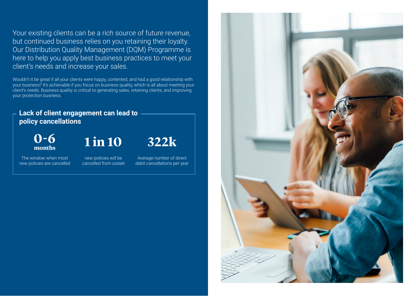Your existing clients can be a rich source of future revenue, but continued business relies on you retaining their loyalty. Our Distribution Quality Management (DQM) Programme is here to help you apply best business practices to meet your client's needs and increase your sales.

Wouldn't it be great if all your clients were happy, contented, and had a good relationship with your business? It's achievable if you focus on business quality, which is all about meeting your client's needs. Business quality is critical to generating sales, retaining clients, and improving your protection business.

### **Lack of client engagement can lead to policy cancellations**

**0-6**<br>months

The window when most new policies are cancelled **months 1 in 10 322k**

new policies will be cancelled from outset

Average number of direct debit cancellations per year

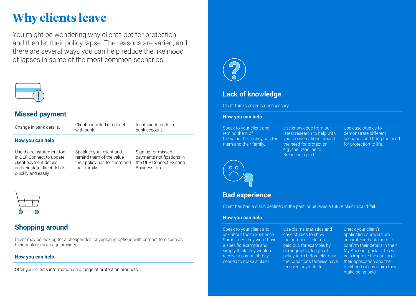# **Why clients leave**

You might be wondering why clients opt for protection and then let their policy lapse. The reasons are varied, and there are several ways you can help reduce the likelihood of lapses in some of the most common scenarios.



### **Missed payment**

Change in bank details. Client cancelled direct debit with bank. Insufficient funds in bank account.

#### **How you can help**

Use the reinstatement tool in OLP Connect to update client payment details and reinstate direct debits quickly and easily.

Speak to your client and remind them of the value their policy has for them and their family.

Sign up for missed payments notifications in the OLP Connect Existing Business tab.



### **Shopping around**

Client may be looking for a cheaper deal or exploring options with competitors such as their bank or mortgage provider.

#### **How you can help**

Offer your clients information on a range of protection products.



### **Lack of knowledge**

Client thinks cover is unnecessary.

#### **How you can help**

Speak to your client and remind them of the value their policy has for them and their family.

Use knowledge from our latest research to help with your conversations around the need for protection, e.g., the Deadline to Breadline report.

Use case studies to demonstrate different scenarios and bring the need for protection to life.



### **Bad experience**

Client has had a claim declined in the past, or believes a future claim would fail.

#### **How you can help**

Speak to your client and ask about their experience. Sometimes they won't have a specific example and simply think they wouldn't receive a pay-out if they needed to make a claim.

Use claims statistics and case studies to show the number of claims paid out, for example, by demographic, length of policy term before claim, or the conditions families have received pay-outs for.

Check your client's application answers are accurate and ask them to confirm their details in their My Account portal. This will help improve the quality of their application and the likelihood of any claim they make being paid.